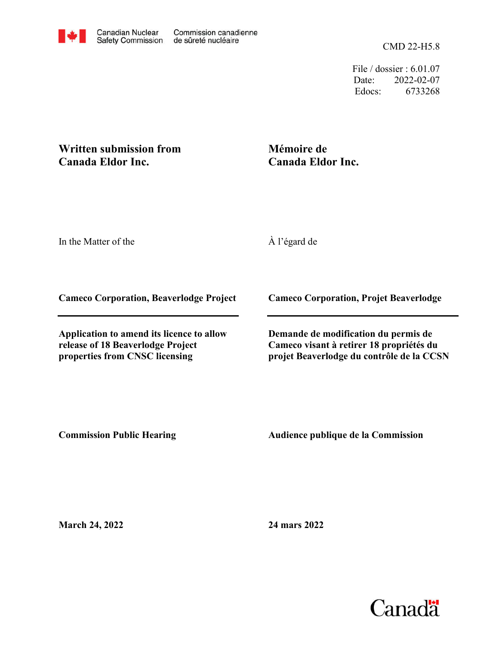CMD 22-H5.8

File / dossier : 6.01.07 Date: 2022-02-07 Edocs: 6733268

## **Written submission from Canada Eldor Inc.**

# **Mémoire de Canada Eldor Inc.**

In the Matter of the

À l'égard de

**Cameco Corporation, Beaverlodge Project**

**Application to amend its licence to allow release of 18 Beaverlodge Project properties from CNSC licensing**

**Cameco Corporation, Projet Beaverlodge**

**Demande de modification du permis de Cameco visant à retirer 18 propriétés du projet Beaverlodge du contrôle de la CCSN**

**Commission Public Hearing**

**Audience publique de la Commission** 

**March 24, 2022**

**24 mars 2022**

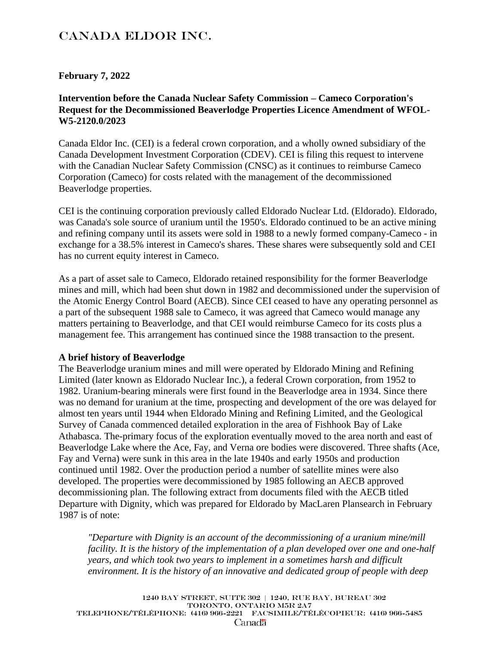# Canada Eldor Inc.

### **February 7, 2022**

### **Intervention before the Canada Nuclear Safety Commission – Cameco Corporation's Request for the Decommissioned Beaverlodge Properties Licence Amendment of WFOL-W5-2120.0/2023**

Canada Eldor Inc. (CEI) is a federal crown corporation, and a wholly owned subsidiary of the Canada Development Investment Corporation (CDEV). CEI is filing this request to intervene with the Canadian Nuclear Safety Commission (CNSC) as it continues to reimburse Cameco Corporation (Cameco) for costs related with the management of the decommissioned Beaverlodge properties.

CEI is the continuing corporation previously called Eldorado Nuclear Ltd. (Eldorado). Eldorado, was Canada's sole source of uranium until the 1950's. Eldorado continued to be an active mining and refining company until its assets were sold in 1988 to a newly formed company-Cameco - in exchange for a 38.5% interest in Cameco's shares. These shares were subsequently sold and CEI has no current equity interest in Cameco.

As a part of asset sale to Cameco, Eldorado retained responsibility for the former Beaverlodge mines and mill, which had been shut down in 1982 and decommissioned under the supervision of the Atomic Energy Control Board (AECB). Since CEI ceased to have any operating personnel as a part of the subsequent 1988 sale to Cameco, it was agreed that Cameco would manage any matters pertaining to Beaverlodge, and that CEI would reimburse Cameco for its costs plus a management fee. This arrangement has continued since the 1988 transaction to the present.

#### **A brief history of Beaverlodge**

The Beaverlodge uranium mines and mill were operated by Eldorado Mining and Refining Limited (later known as Eldorado Nuclear Inc.), a federal Crown corporation, from 1952 to 1982. Uranium-bearing minerals were first found in the Beaverlodge area in 1934. Since there was no demand for uranium at the time, prospecting and development of the ore was delayed for almost ten years until 1944 when Eldorado Mining and Refining Limited, and the Geological Survey of Canada commenced detailed exploration in the area of Fishhook Bay of Lake Athabasca. The-primary focus of the exploration eventually moved to the area north and east of Beaverlodge Lake where the Ace, Fay, and Verna ore bodies were discovered. Three shafts (Ace, Fay and Verna) were sunk in this area in the late 1940s and early 1950s and production continued until 1982. Over the production period a number of satellite mines were also developed. The properties were decommissioned by 1985 following an AECB approved decommissioning plan. The following extract from documents filed with the AECB titled Departure with Dignity, which was prepared for Eldorado by MacLaren Plansearch in February 1987 is of note:

*"Departure with Dignity is an account of the decommissioning of a uranium mine/mill facility. It is the history of the implementation of a plan developed over one and one-half years, and which took two years to implement in a sometimes harsh and difficult environment. It is the history of an innovative and dedicated group of people with deep* 

1240 Bay Street, Suite 302 | 1240, rue bay, bureau 302 Toronto, Ontario M5R 2A7 Telephone/téléphone: (416) 966-2221 FACSIMILE/télécopieur: (416) 966-5485 Canada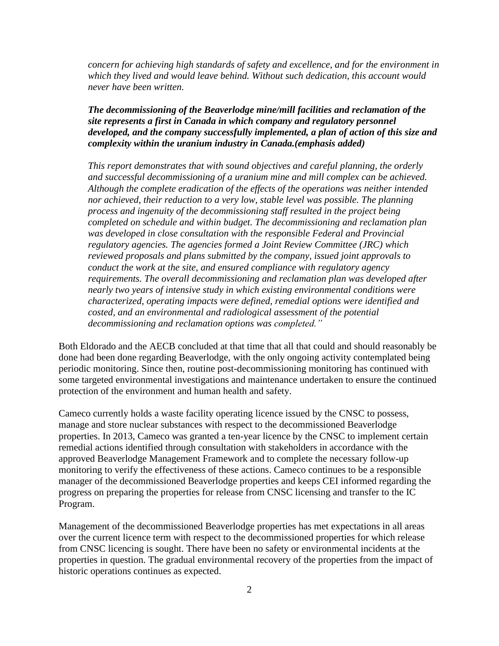*concern for achieving high standards of safety and excellence, and for the environment in which they lived and would leave behind. Without such dedication, this account would never have been written.* 

#### *The decommissioning of the Beaverlodge mine/mill facilities and reclamation of the site represents a first in Canada in which company and regulatory personnel developed, and the company successfully implemented, a plan of action of this size and complexity within the uranium industry in Canada.(emphasis added)*

*This report demonstrates that with sound objectives and careful planning, the orderly and successful decommissioning of a uranium mine and mill complex can be achieved. Although the complete eradication of the effects of the operations was neither intended nor achieved, their reduction to a very low, stable level was possible. The planning process and ingenuity of the decommissioning staff resulted in the project being completed on schedule and within budget. The decommissioning and reclamation plan was developed in close consultation with the responsible Federal and Provincial regulatory agencies. The agencies formed a Joint Review Committee (JRC) which reviewed proposals and plans submitted by the company, issued joint approvals to conduct the work at the site, and ensured compliance with regulatory agency requirements. The overall decommissioning and reclamation plan was developed after nearly two years of intensive study in which existing environmental conditions were characterized, operating impacts were defined, remedial options were identified and costed, and an environmental and radiological assessment of the potential decommissioning and reclamation options was completed."*

Both Eldorado and the AECB concluded at that time that all that could and should reasonably be done had been done regarding Beaverlodge, with the only ongoing activity contemplated being periodic monitoring. Since then, routine post-decommissioning monitoring has continued with some targeted environmental investigations and maintenance undertaken to ensure the continued protection of the environment and human health and safety.

Cameco currently holds a waste facility operating licence issued by the CNSC to possess, manage and store nuclear substances with respect to the decommissioned Beaverlodge properties. In 2013, Cameco was granted a ten-year licence by the CNSC to implement certain remedial actions identified through consultation with stakeholders in accordance with the approved Beaverlodge Management Framework and to complete the necessary follow-up monitoring to verify the effectiveness of these actions. Cameco continues to be a responsible manager of the decommissioned Beaverlodge properties and keeps CEI informed regarding the progress on preparing the properties for release from CNSC licensing and transfer to the IC Program.

Management of the decommissioned Beaverlodge properties has met expectations in all areas over the current licence term with respect to the decommissioned properties for which release from CNSC licencing is sought. There have been no safety or environmental incidents at the properties in question. The gradual environmental recovery of the properties from the impact of historic operations continues as expected.